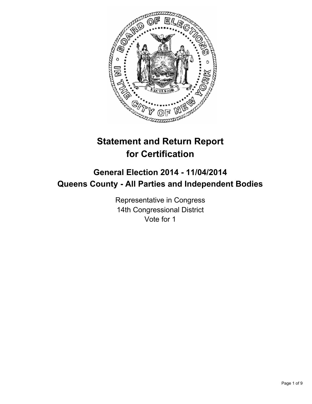

# **Statement and Return Report for Certification**

## **General Election 2014 - 11/04/2014 Queens County - All Parties and Independent Bodies**

Representative in Congress 14th Congressional District Vote for 1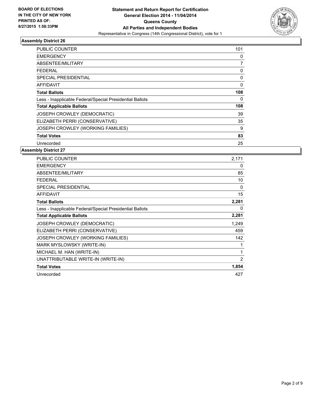

| PUBLIC COUNTER                                           | 101 |
|----------------------------------------------------------|-----|
| <b>EMERGENCY</b>                                         | 0   |
| ABSENTEE/MILITARY                                        | 7   |
| FEDERAL                                                  | 0   |
| <b>SPECIAL PRESIDENTIAL</b>                              | 0   |
| <b>AFFIDAVIT</b>                                         | 0   |
| <b>Total Ballots</b>                                     | 108 |
| Less - Inapplicable Federal/Special Presidential Ballots | 0   |
| <b>Total Applicable Ballots</b>                          | 108 |
| JOSEPH CROWLEY (DEMOCRATIC)                              | 39  |
| ELIZABETH PERRI (CONSERVATIVE)                           | 35  |
| JOSEPH CROWLEY (WORKING FAMILIES)                        | 9   |
| <b>Total Votes</b>                                       | 83  |
| Unrecorded                                               | 25  |

| <b>PUBLIC COUNTER</b>                                    | 2,171 |
|----------------------------------------------------------|-------|
| <b>EMERGENCY</b>                                         | 0     |
| ABSENTEE/MILITARY                                        | 85    |
| <b>FEDERAL</b>                                           | 10    |
| <b>SPECIAL PRESIDENTIAL</b>                              | 0     |
| <b>AFFIDAVIT</b>                                         | 15    |
| <b>Total Ballots</b>                                     | 2,281 |
| Less - Inapplicable Federal/Special Presidential Ballots | 0     |
| <b>Total Applicable Ballots</b>                          | 2,281 |
| <b>JOSEPH CROWLEY (DEMOCRATIC)</b>                       | 1,249 |
| ELIZABETH PERRI (CONSERVATIVE)                           | 459   |
| JOSEPH CROWLEY (WORKING FAMILIES)                        | 142   |
| MARK MYSLOWSKY (WRITE-IN)                                |       |
| MICHAEL M. HAN (WRITE-IN)                                | 1     |
| UNATTRIBUTABLE WRITE-IN (WRITE-IN)                       | 2     |
| <b>Total Votes</b>                                       | 1,854 |
| Unrecorded                                               | 427   |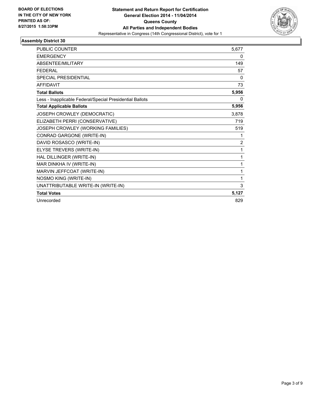

| PUBLIC COUNTER                                           | 5,677          |
|----------------------------------------------------------|----------------|
| <b>EMERGENCY</b>                                         | 0              |
| ABSENTEE/MILITARY                                        | 149            |
| <b>FEDERAL</b>                                           | 57             |
| <b>SPECIAL PRESIDENTIAL</b>                              | 0              |
| <b>AFFIDAVIT</b>                                         | 73             |
| <b>Total Ballots</b>                                     | 5,956          |
| Less - Inapplicable Federal/Special Presidential Ballots | 0              |
| <b>Total Applicable Ballots</b>                          | 5,956          |
| JOSEPH CROWLEY (DEMOCRATIC)                              | 3,878          |
| ELIZABETH PERRI (CONSERVATIVE)                           | 719            |
| JOSEPH CROWLEY (WORKING FAMILIES)                        | 519            |
| CONRAD GARGONE (WRITE-IN)                                | 1              |
| DAVID ROSASCO (WRITE-IN)                                 | $\overline{2}$ |
| ELYSE TREVERS (WRITE-IN)                                 | 1              |
| HAL DILLINGER (WRITE-IN)                                 | 1              |
| MAR DINKHA IV (WRITE-IN)                                 | 1              |
| MARVIN JEFFCOAT (WRITE-IN)                               | 1              |
| NOSMO KING (WRITE-IN)                                    | 1              |
| UNATTRIBUTABLE WRITE-IN (WRITE-IN)                       | 3              |
| <b>Total Votes</b>                                       | 5,127          |
| Unrecorded                                               | 829            |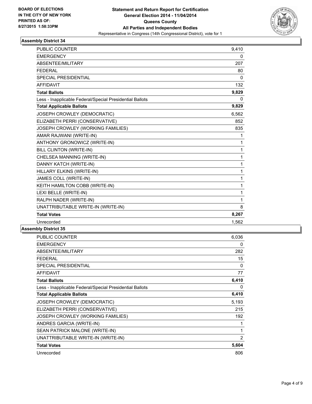

| <b>PUBLIC COUNTER</b>                                    | 9,410        |
|----------------------------------------------------------|--------------|
| <b>EMERGENCY</b>                                         | 0            |
| ABSENTEE/MILITARY                                        | 207          |
| <b>FEDERAL</b>                                           | 80           |
| <b>SPECIAL PRESIDENTIAL</b>                              | 0            |
| <b>AFFIDAVIT</b>                                         | 132          |
| <b>Total Ballots</b>                                     | 9,829        |
| Less - Inapplicable Federal/Special Presidential Ballots | 0            |
| <b>Total Applicable Ballots</b>                          | 9,829        |
| JOSEPH CROWLEY (DEMOCRATIC)                              | 6,562        |
| ELIZABETH PERRI (CONSERVATIVE)                           | 852          |
| JOSEPH CROWLEY (WORKING FAMILIES)                        | 835          |
| AMAR RAJWANI (WRITE-IN)                                  | 1            |
| ANTHONY GRONOWICZ (WRITE-IN)                             | 1            |
| <b>BILL CLINTON (WRITE-IN)</b>                           | 1            |
| CHELSEA MANNING (WRITE-IN)                               | 1            |
| DANNY KATCH (WRITE-IN)                                   | 1            |
| HILLARY ELKINS (WRITE-IN)                                | $\mathbf{1}$ |
| JAMES COLL (WRITE-IN)                                    | $\mathbf{1}$ |
| KEITH HAMILTON COBB (WRITE-IN)                           | $\mathbf{1}$ |
| LEXI BELLE (WRITE-IN)                                    | 1            |
| RALPH NADER (WRITE-IN)                                   | 1            |
| UNATTRIBUTABLE WRITE-IN (WRITE-IN)                       | 8            |
| <b>Total Votes</b>                                       | 8,267        |
| Unrecorded                                               | 1,562        |

| <b>PUBLIC COUNTER</b>                                    | 6,036 |
|----------------------------------------------------------|-------|
| <b>EMERGENCY</b>                                         | 0     |
| ABSENTEE/MILITARY                                        | 282   |
| <b>FEDERAL</b>                                           | 15    |
| <b>SPECIAL PRESIDENTIAL</b>                              | 0     |
| <b>AFFIDAVIT</b>                                         | 77    |
| <b>Total Ballots</b>                                     | 6,410 |
| Less - Inapplicable Federal/Special Presidential Ballots | 0     |
| <b>Total Applicable Ballots</b>                          | 6,410 |
| <b>JOSEPH CROWLEY (DEMOCRATIC)</b>                       | 5,193 |
| ELIZABETH PERRI (CONSERVATIVE)                           | 215   |
| JOSEPH CROWLEY (WORKING FAMILIES)                        | 192   |
| ANDRES GARCIA (WRITE-IN)                                 | 1     |
| SEAN PATRICK MALONE (WRITE-IN)                           | 1     |
| UNATTRIBUTABLE WRITE-IN (WRITE-IN)                       | 2     |
| <b>Total Votes</b>                                       | 5,604 |
| Unrecorded                                               | 806   |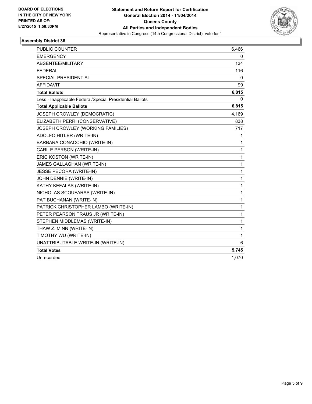

| <b>PUBLIC COUNTER</b>                                    | 6,466 |
|----------------------------------------------------------|-------|
| <b>EMERGENCY</b>                                         | 0     |
| ABSENTEE/MILITARY                                        | 134   |
| <b>FEDERAL</b>                                           | 116   |
| <b>SPECIAL PRESIDENTIAL</b>                              | 0     |
| <b>AFFIDAVIT</b>                                         | 99    |
| <b>Total Ballots</b>                                     | 6,815 |
| Less - Inapplicable Federal/Special Presidential Ballots | 0     |
| <b>Total Applicable Ballots</b>                          | 6,815 |
| JOSEPH CROWLEY (DEMOCRATIC)                              | 4,169 |
| ELIZABETH PERRI (CONSERVATIVE)                           | 838   |
| JOSEPH CROWLEY (WORKING FAMILIES)                        | 717   |
| ADOLFO HITLER (WRITE-IN)                                 | 1     |
| BARBARA CONACCHIO (WRITE-IN)                             | 1     |
| CARL E PERSON (WRITE-IN)                                 | 1     |
| ERIC KOSTON (WRITE-IN)                                   | 1     |
| JAMES GALLAGHAN (WRITE-IN)                               | 1     |
| <b>JESSE PECORA (WRITE-IN)</b>                           | 1     |
| JOHN DENNIE (WRITE-IN)                                   | 1     |
| KATHY KEFALAS (WRITE-IN)                                 | 1     |
| NICHOLAS SCOUFARAS (WRITE-IN)                            | 1     |
| PAT BUCHANAN (WRITE-IN)                                  | 1     |
| PATRICK CHRISTOPHER LAMBO (WRITE-IN)                     | 1     |
| PETER PEARSON TRAUS JR (WRITE-IN)                        | 1     |
| STEPHEN MIDDLEMAS (WRITE-IN)                             | 1     |
| THAW Z. MINN (WRITE-IN)                                  | 1     |
| TIMOTHY WU (WRITE-IN)                                    | 1     |
| UNATTRIBUTABLE WRITE-IN (WRITE-IN)                       | 6     |
| <b>Total Votes</b>                                       | 5,745 |
| Unrecorded                                               | 1,070 |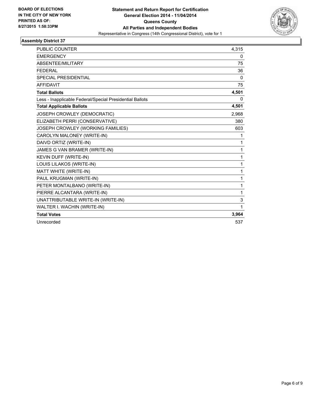

| <b>PUBLIC COUNTER</b>                                    | 4,315        |
|----------------------------------------------------------|--------------|
| <b>EMERGENCY</b>                                         | 0            |
| ABSENTEE/MILITARY                                        | 75           |
| <b>FFDFRAI</b>                                           | 36           |
| <b>SPECIAL PRESIDENTIAL</b>                              | 0            |
| <b>AFFIDAVIT</b>                                         | 75           |
| <b>Total Ballots</b>                                     | 4,501        |
| Less - Inapplicable Federal/Special Presidential Ballots | 0            |
| <b>Total Applicable Ballots</b>                          | 4,501        |
| JOSEPH CROWLEY (DEMOCRATIC)                              | 2,968        |
| ELIZABETH PERRI (CONSERVATIVE)                           | 380          |
| JOSEPH CROWLEY (WORKING FAMILIES)                        | 603          |
| CAROLYN MALONEY (WRITE-IN)                               | 1            |
| DAIVD ORTIZ (WRITE-IN)                                   | 1            |
| JAMES G VAN BRAMER (WRITE-IN)                            | 1            |
| KEVIN DUFF (WRITE-IN)                                    | 1            |
| LOUIS LILAKOS (WRITE-IN)                                 | $\mathbf{1}$ |
| MATT WHITE (WRITE-IN)                                    | $\mathbf{1}$ |
| PAUL KRUGMAN (WRITE-IN)                                  | $\mathbf{1}$ |
| PETER MONTALBANO (WRITE-IN)                              | 1            |
| PIERRE ALCANTARA (WRITE-IN)                              | $\mathbf{1}$ |
| UNATTRIBUTABLE WRITE-IN (WRITE-IN)                       | 3            |
| WALTER I. WACHIN (WRITE-IN)                              | 1            |
| <b>Total Votes</b>                                       | 3,964        |
| Unrecorded                                               | 537          |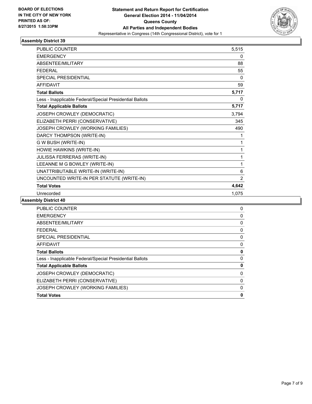

| <b>PUBLIC COUNTER</b>                                    | 5,515          |
|----------------------------------------------------------|----------------|
| <b>EMERGENCY</b>                                         | 0              |
| <b>ABSENTEE/MILITARY</b>                                 | 88             |
| <b>FEDERAL</b>                                           | 55             |
| <b>SPECIAL PRESIDENTIAL</b>                              | 0              |
| <b>AFFIDAVIT</b>                                         | 59             |
| <b>Total Ballots</b>                                     | 5,717          |
| Less - Inapplicable Federal/Special Presidential Ballots | 0              |
| <b>Total Applicable Ballots</b>                          | 5,717          |
| JOSEPH CROWLEY (DEMOCRATIC)                              | 3,794          |
| ELIZABETH PERRI (CONSERVATIVE)                           | 345            |
| JOSEPH CROWLEY (WORKING FAMILIES)                        | 490            |
| DARCY THOMPSON (WRITE-IN)                                | 1              |
| G W BUSH (WRITE-IN)                                      | 1              |
| HOWIE HAWKINS (WRITE-IN)                                 | 1              |
| JULISSA FERRERAS (WRITE-IN)                              | 1              |
| LEEANNE M G BOWLEY (WRITE-IN)                            | 1              |
| UNATTRIBUTABLE WRITE-IN (WRITE-IN)                       | 6              |
| UNCOUNTED WRITE-IN PER STATUTE (WRITE-IN)                | $\overline{2}$ |
| <b>Total Votes</b>                                       | 4,642          |
| Unrecorded                                               | 1,075          |

| <b>Total Votes</b>                                       | 0 |
|----------------------------------------------------------|---|
| JOSEPH CROWLEY (WORKING FAMILIES)                        | 0 |
| ELIZABETH PERRI (CONSERVATIVE)                           | 0 |
| JOSEPH CROWLEY (DEMOCRATIC)                              | 0 |
| <b>Total Applicable Ballots</b>                          | 0 |
| Less - Inapplicable Federal/Special Presidential Ballots | 0 |
| <b>Total Ballots</b>                                     | 0 |
| <b>AFFIDAVIT</b>                                         | 0 |
| SPECIAL PRESIDENTIAL                                     | 0 |
| <b>FEDERAL</b>                                           | 0 |
| ABSENTEE/MILITARY                                        | 0 |
| <b>EMERGENCY</b>                                         | 0 |
| <b>PUBLIC COUNTER</b>                                    | 0 |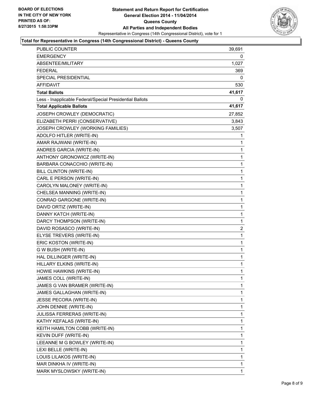

### **Total for Representative in Congress (14th Congressional District) - Queens County**

| PUBLIC COUNTER                                           | 39,691                  |
|----------------------------------------------------------|-------------------------|
| <b>EMERGENCY</b>                                         | 0                       |
| ABSENTEE/MILITARY                                        | 1,027                   |
| <b>FEDERAL</b>                                           | 369                     |
| SPECIAL PRESIDENTIAL                                     | 0                       |
| <b>AFFIDAVIT</b>                                         | 530                     |
| <b>Total Ballots</b>                                     | 41,617                  |
| Less - Inapplicable Federal/Special Presidential Ballots | $\Omega$                |
| <b>Total Applicable Ballots</b>                          | 41,617                  |
| JOSEPH CROWLEY (DEMOCRATIC)                              | 27,852                  |
| ELIZABETH PERRI (CONSERVATIVE)                           | 3,843                   |
| JOSEPH CROWLEY (WORKING FAMILIES)                        | 3,507                   |
| ADOLFO HITLER (WRITE-IN)                                 | 1                       |
| AMAR RAJWANI (WRITE-IN)                                  | 1                       |
| ANDRES GARCIA (WRITE-IN)                                 | 1                       |
| ANTHONY GRONOWICZ (WRITE-IN)                             | 1                       |
| BARBARA CONACCHIO (WRITE-IN)                             | 1                       |
| BILL CLINTON (WRITE-IN)                                  | 1                       |
| CARL E PERSON (WRITE-IN)                                 | 1                       |
| CAROLYN MALONEY (WRITE-IN)                               | 1                       |
| CHELSEA MANNING (WRITE-IN)                               | $\mathbf{1}$            |
| CONRAD GARGONE (WRITE-IN)                                | 1                       |
| DAIVD ORTIZ (WRITE-IN)                                   | 1                       |
| DANNY KATCH (WRITE-IN)                                   | 1                       |
| DARCY THOMPSON (WRITE-IN)                                | 1                       |
| DAVID ROSASCO (WRITE-IN)                                 | $\overline{\mathbf{c}}$ |
| ELYSE TREVERS (WRITE-IN)                                 | 1                       |
| ERIC KOSTON (WRITE-IN)                                   | 1                       |
| G W BUSH (WRITE-IN)                                      | 1                       |
| HAL DILLINGER (WRITE-IN)                                 | $\mathbf{1}$            |
| HILLARY ELKINS (WRITE-IN)                                | 1                       |
| HOWIE HAWKINS (WRITE-IN)                                 | 1                       |
| JAMES COLL (WRITE-IN)                                    | 1                       |
| JAMES G VAN BRAMER (WRITE-IN)                            | 1                       |
| JAMES GALLAGHAN (WRITE-IN)                               | 1                       |
| <b>JESSE PECORA (WRITE-IN)</b>                           | 1                       |
| JOHN DENNIE (WRITE-IN)                                   | 1                       |
| JULISSA FERRERAS (WRITE-IN)                              | 1                       |
| KATHY KEFALAS (WRITE-IN)                                 | 1                       |
| KEITH HAMILTON COBB (WRITE-IN)                           | 1                       |
| KEVIN DUFF (WRITE-IN)                                    | 1                       |
| LEEANNE M G BOWLEY (WRITE-IN)                            | 1                       |
| LEXI BELLE (WRITE-IN)                                    | 1                       |
| LOUIS LILAKOS (WRITE-IN)                                 | 1                       |
| MAR DINKHA IV (WRITE-IN)                                 | 1                       |
| MARK MYSLOWSKY (WRITE-IN)                                | 1                       |